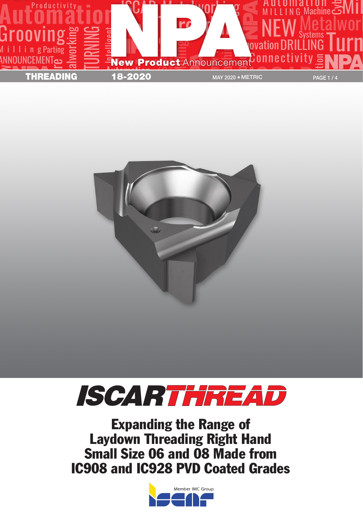





Expanding the Range of Laydown Threading Right Hand Small Size 06 and 08 Made from IC908 and IC928 PVD Coated Grades

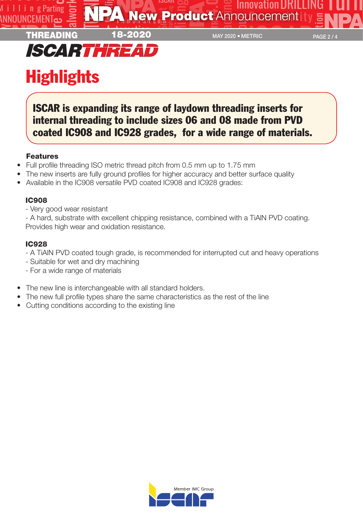



## **Highlights**

ISCAR is expanding its range of laydown threading inserts for internal threading to include sizes 06 and 08 made from PVD coated IC908 and IC928 grades, for a wide range of materials.

## Features

- Full profile threading ISO metric thread pitch from 0.5 mm up to 1.75 mm
- The new inserts are fully ground profiles for higher accuracy and better surface quality
- Available in the IC908 versatile PVD coated IC908 and IC928 grades:

## IC908

- Very good wear resistant

- A hard, substrate with excellent chipping resistance, combined with a TiAlN PVD coating. Provides high wear and oxidation resistance.

## IC928

- A TiAlN PVD coated tough grade, is recommended for interrupted cut and heavy operations
- Suitable for wet and dry machining
- For a wide range of materials
- The new line is interchangeable with all standard holders.
- The new full profile types share the same characteristics as the rest of the line
- Cutting conditions according to the existing line

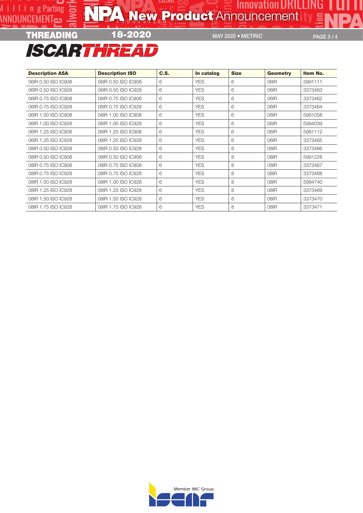

MAY 2020 · METRIC

PAGE 3/4

Ш

| <b>Description ASA</b> | <b>Description ISO</b> | C.S. | In catalog | <b>Size</b> | <b>Geometry</b> | Item No. |  |
|------------------------|------------------------|------|------------|-------------|-----------------|----------|--|
| 06IR 0.50 ISO IC908    | 06IR 0.50 ISO IC908    | 6    | <b>YES</b> | 6           | 06IR            | 5991111  |  |
| 06IR 0.50 ISO IC928    | 06IR 0.50 ISO IC928    | 6    | <b>YES</b> | 6           | 06IR            | 3373463  |  |
| 06IR 0.75 ISO IC908    | 06IR 0.75 ISO IC908    | 6    | <b>YES</b> | 6           | 06IR            | 3373462  |  |
| 06IR 0.75 ISO IC928    | 06IR 0.75 ISO IC928    | 6    | <b>YES</b> | 6           | 06IR            | 3373464  |  |
| 06IR 1.00 ISO IC908    | 06IR 1.00 ISO IC908    | 6    | <b>YES</b> | 6           | 06IR            | 5991058  |  |
| 06IR 1.00 ISO IC928    | 06IR 1.00 ISO IC928    | 6    | <b>YES</b> | 6           | 06IR            | 5994039  |  |
| 06IR 1.25 ISO IC908    | 06 R 1.25 ISO IC908    | 6    | <b>YES</b> | 6           | 06IR            | 5991112  |  |
| 06IR 1.25 ISO IC928    | 06 R 1.25 ISO IC928    | 6    | <b>YES</b> | 6           | 06IR            | 3373465  |  |
| 08 R 0.50 ISO IC928    | 08 R 0.50 ISO IC928    | 6    | <b>YES</b> | 8           | 08IR            | 3373466  |  |
| 08IR 0.50 ISO IC908    | 08IR 0.50 ISO IC908    | 6    | <b>YES</b> | 8           | 08IR            | 5991228  |  |
| 08IR 0.75 ISO IC908    | 08IR 0.75 ISO IC908    | 6    | <b>YES</b> | 8           | 08IR            | 3373467  |  |
| 08 R 0.75 ISO IC928    | 08 R 0.75 ISO IC928    | 6    | <b>YES</b> | 8           | 08IR            | 3373468  |  |
| 08IR 1.00 ISO IC928    | 08IR 1.00 ISO IC928    | 6    | <b>YES</b> | 8           | 08IR            | 5994740  |  |
| 08 R 1.25 ISO IC928    | 08 R 1.25 ISO IC928    | 6    | <b>YES</b> | 8           | 08IR            | 3373469  |  |
| 08 R 1.50 ISO IC928    | 08 R 1.50 ISO IC928    | 6    | <b>YES</b> | 8           | 08IR            | 3373470  |  |
| 08 R 1.75 ISO IC928    | 08 R 1.75 ISO IC928    | 6    | <b>YES</b> | 8           | 08IR            | 3373471  |  |